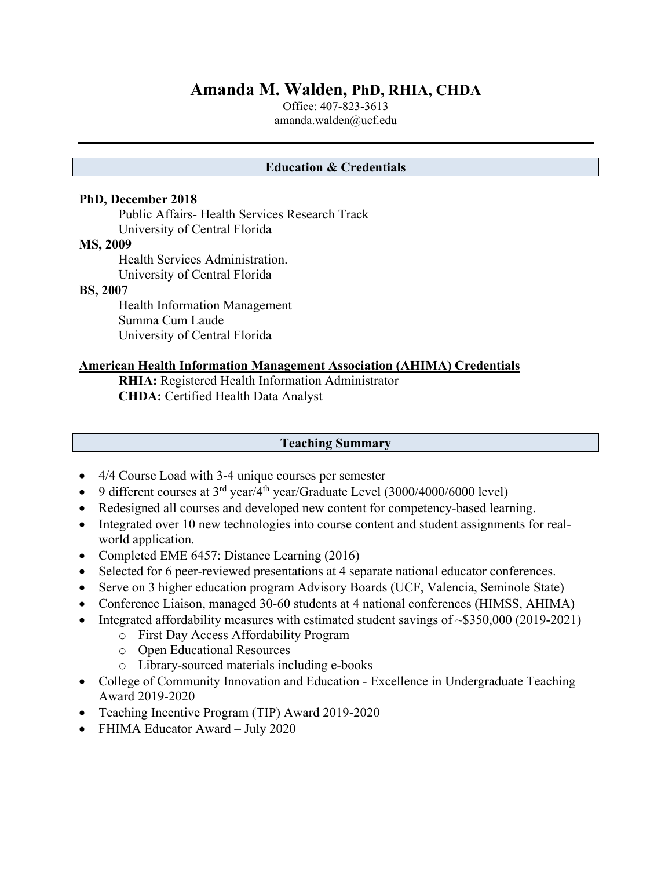# **Amanda M. Walden, PhD, RHIA, CHDA**

Office: 407-823-3613 amanda.walden@ucf.edu

#### **Education & Credentials**

#### **PhD, December 2018**

Public Affairs- Health Services Research Track University of Central Florida

#### **MS, 2009**

Health Services Administration. University of Central Florida

#### **BS, 2007**

Health Information Management Summa Cum Laude University of Central Florida

#### **American Health Information Management Association (AHIMA) Credentials**

**RHIA:** Registered Health Information Administrator **CHDA:** Certified Health Data Analyst

#### **Teaching Summary**

- 4/4 Course Load with 3-4 unique courses per semester
- 9 different courses at  $3^{rd}$  year/4<sup>th</sup> year/Graduate Level (3000/4000/6000 level)
- Redesigned all courses and developed new content for competency-based learning.
- Integrated over 10 new technologies into course content and student assignments for realworld application.
- Completed EME 6457: Distance Learning (2016)
- Selected for 6 peer-reviewed presentations at 4 separate national educator conferences.
- Serve on 3 higher education program Advisory Boards (UCF, Valencia, Seminole State)
- Conference Liaison, managed 30-60 students at 4 national conferences (HIMSS, AHIMA)
- Integrated affordability measures with estimated student savings of ~\$350,000 (2019-2021)
	- o First Day Access Affordability Program
	- o Open Educational Resources
	- o Library-sourced materials including e-books
- College of Community Innovation and Education Excellence in Undergraduate Teaching Award 2019-2020
- Teaching Incentive Program (TIP) Award 2019-2020
- FHIMA Educator Award July 2020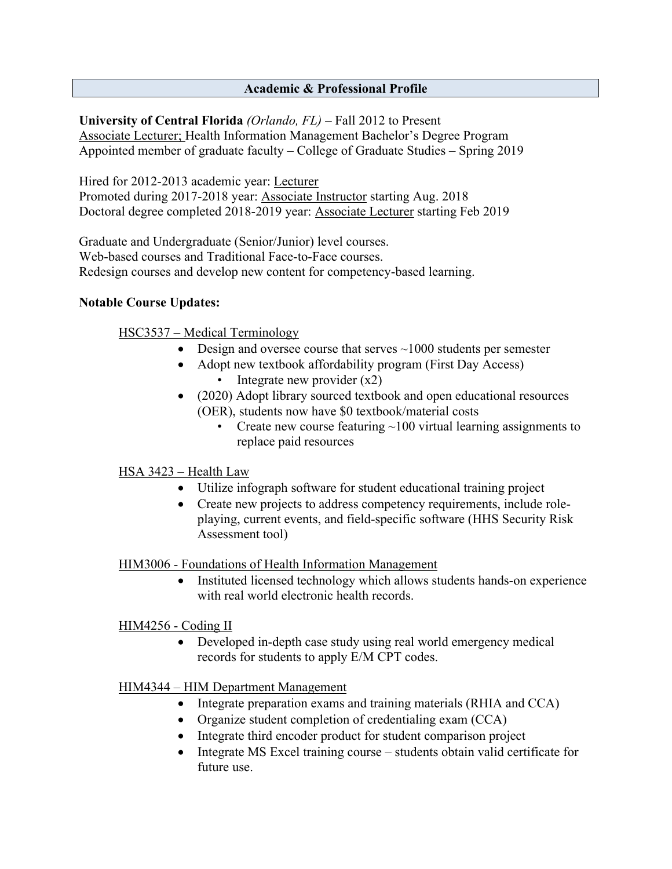# **Academic & Professional Profile**

**University of Central Florida** *(Orlando, FL)* – Fall 2012 to Present Associate Lecturer; Health Information Management Bachelor's Degree Program Appointed member of graduate faculty – College of Graduate Studies – Spring 2019

Hired for 2012-2013 academic year: Lecturer Promoted during 2017-2018 year: Associate Instructor starting Aug. 2018 Doctoral degree completed 2018-2019 year: Associate Lecturer starting Feb 2019

Graduate and Undergraduate (Senior/Junior) level courses. Web-based courses and Traditional Face-to-Face courses. Redesign courses and develop new content for competency-based learning.

#### **Notable Course Updates:**

HSC3537 – Medical Terminology

- Design and oversee course that serves  $\sim$ 1000 students per semester
- Adopt new textbook affordability program (First Day Access) • Integrate new provider  $(x2)$
- (2020) Adopt library sourced textbook and open educational resources (OER), students now have \$0 textbook/material costs
	- Create new course featuring  $~100$  virtual learning assignments to replace paid resources

## HSA 3423 – Health Law

- Utilize infograph software for student educational training project
- Create new projects to address competency requirements, include roleplaying, current events, and field-specific software (HHS Security Risk Assessment tool)

HIM3006 - Foundations of Health Information Management

• Instituted licensed technology which allows students hands-on experience with real world electronic health records.

HIM4256 - Coding II

• Developed in-depth case study using real world emergency medical records for students to apply E/M CPT codes.

## HIM4344 – HIM Department Management

- Integrate preparation exams and training materials (RHIA and CCA)
- Organize student completion of credentialing exam (CCA)
- Integrate third encoder product for student comparison project
- Integrate MS Excel training course students obtain valid certificate for future use.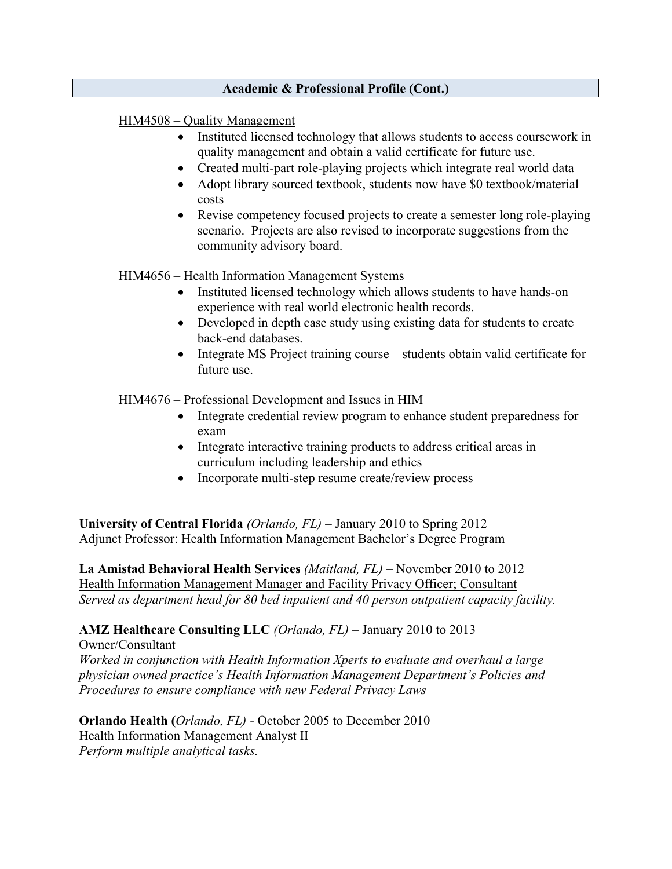#### **Academic & Professional Profile (Cont.)**

#### HIM4508 – Quality Management

- Instituted licensed technology that allows students to access coursework in quality management and obtain a valid certificate for future use.
- Created multi-part role-playing projects which integrate real world data
- Adopt library sourced textbook, students now have \$0 textbook/material costs
- Revise competency focused projects to create a semester long role-playing scenario. Projects are also revised to incorporate suggestions from the community advisory board.

#### HIM4656 – Health Information Management Systems

- Instituted licensed technology which allows students to have hands-on experience with real world electronic health records.
- Developed in depth case study using existing data for students to create back-end databases.
- Integrate MS Project training course students obtain valid certificate for future use.

HIM4676 – Professional Development and Issues in HIM

- Integrate credential review program to enhance student preparedness for exam
- Integrate interactive training products to address critical areas in curriculum including leadership and ethics
- Incorporate multi-step resume create/review process

**University of Central Florida** *(Orlando, FL)* – January 2010 to Spring 2012 Adjunct Professor: Health Information Management Bachelor's Degree Program

**La Amistad Behavioral Health Services** *(Maitland, FL)* – November 2010 to 2012 Health Information Management Manager and Facility Privacy Officer; Consultant *Served as department head for 80 bed inpatient and 40 person outpatient capacity facility.*

# **AMZ Healthcare Consulting LLC** *(Orlando, FL)* – January 2010 to 2013

Owner/Consultant

*Worked in conjunction with Health Information Xperts to evaluate and overhaul a large physician owned practice's Health Information Management Department's Policies and Procedures to ensure compliance with new Federal Privacy Laws*

**Orlando Health (***Orlando, FL) -* October 2005 to December 2010 Health Information Management Analyst II *Perform multiple analytical tasks.*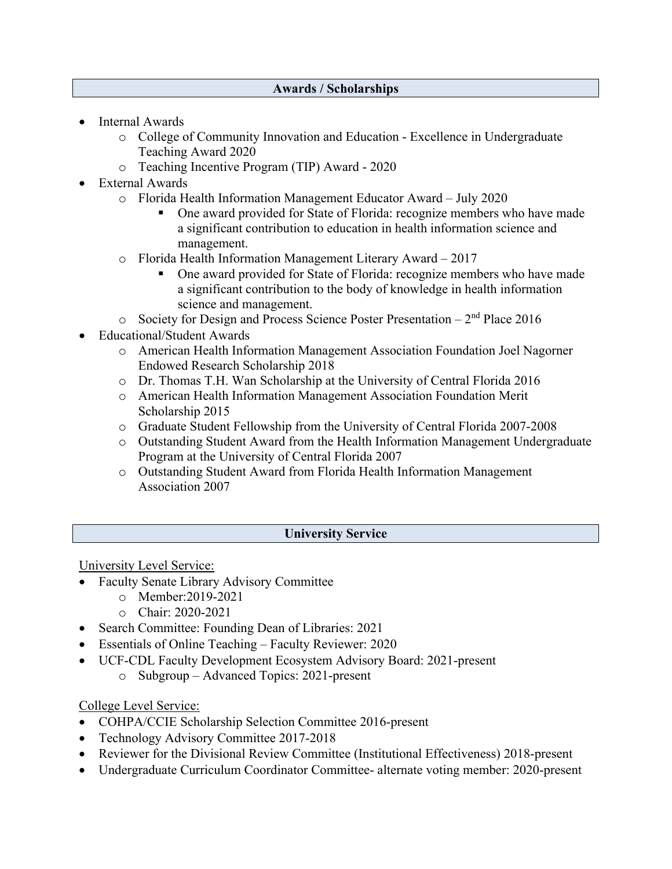#### **Awards / Scholarships**

- Internal Awards
	- o College of Community Innovation and Education Excellence in Undergraduate Teaching Award 2020
	- o Teaching Incentive Program (TIP) Award 2020
- External Awards
	- o Florida Health Information Management Educator Award July 2020
		- One award provided for State of Florida: recognize members who have made a significant contribution to education in health information science and management.
	- o Florida Health Information Management Literary Award 2017
		- One award provided for State of Florida: recognize members who have made a significant contribution to the body of knowledge in health information science and management.
	- $\circ$  Society for Design and Process Science Poster Presentation 2<sup>nd</sup> Place 2016
- Educational/Student Awards
	- o American Health Information Management Association Foundation Joel Nagorner Endowed Research Scholarship 2018
	- o Dr. Thomas T.H. Wan Scholarship at the University of Central Florida 2016
	- o American Health Information Management Association Foundation Merit Scholarship 2015
	- o Graduate Student Fellowship from the University of Central Florida 2007-2008
	- o Outstanding Student Award from the Health Information Management Undergraduate Program at the University of Central Florida 2007
	- o Outstanding Student Award from Florida Health Information Management Association 2007

#### **University Service**

University Level Service:

- Faculty Senate Library Advisory Committee
	- o Member:2019-2021
	- o Chair: 2020-2021
- Search Committee: Founding Dean of Libraries: 2021
- Essentials of Online Teaching Faculty Reviewer: 2020
- UCF-CDL Faculty Development Ecosystem Advisory Board: 2021-present
	- o Subgroup Advanced Topics: 2021-present

College Level Service:

- COHPA/CCIE Scholarship Selection Committee 2016-present
- Technology Advisory Committee 2017-2018
- Reviewer for the Divisional Review Committee (Institutional Effectiveness) 2018-present
- Undergraduate Curriculum Coordinator Committee- alternate voting member: 2020-present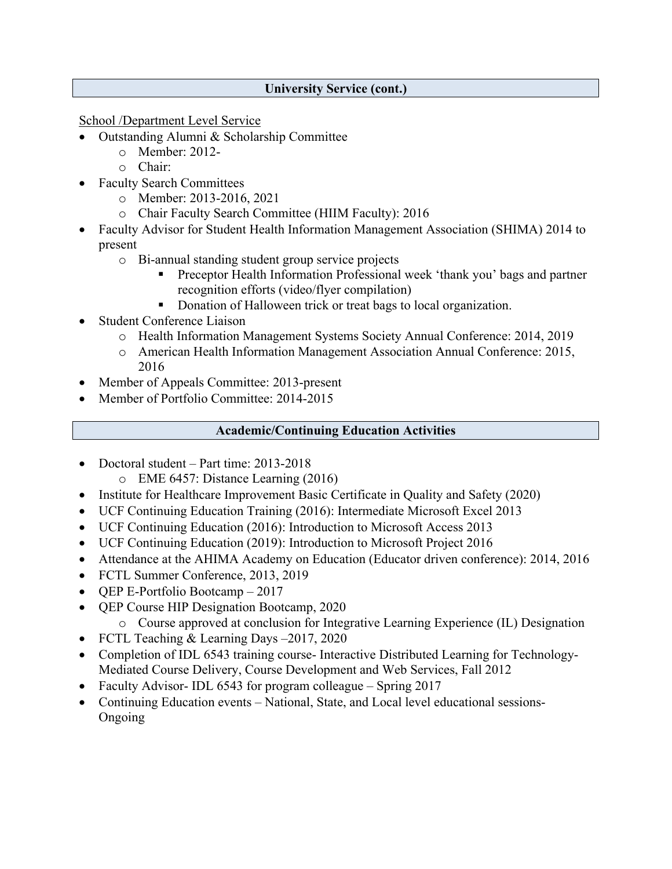### **University Service (cont.)**

School /Department Level Service

- Outstanding Alumni & Scholarship Committee
	- o Member: 2012-
	- o Chair:
- Faculty Search Committees
	- o Member: 2013-2016, 2021
	- o Chair Faculty Search Committee (HIIM Faculty): 2016
- Faculty Advisor for Student Health Information Management Association (SHIMA) 2014 to present
	- o Bi-annual standing student group service projects
		- Preceptor Health Information Professional week 'thank you' bags and partner recognition efforts (video/flyer compilation)
		- **Donation of Halloween trick or treat bags to local organization.**
- Student Conference Liaison
	- o Health Information Management Systems Society Annual Conference: 2014, 2019
	- o American Health Information Management Association Annual Conference: 2015, 2016
- Member of Appeals Committee: 2013-present
- Member of Portfolio Committee: 2014-2015

# **Academic/Continuing Education Activities**

- Doctoral student Part time: 2013-2018
	- o EME 6457: Distance Learning (2016)
- Institute for Healthcare Improvement Basic Certificate in Quality and Safety (2020)
- UCF Continuing Education Training (2016): Intermediate Microsoft Excel 2013
- UCF Continuing Education (2016): Introduction to Microsoft Access 2013
- UCF Continuing Education (2019): Introduction to Microsoft Project 2016
- Attendance at the AHIMA Academy on Education (Educator driven conference): 2014, 2016
- FCTL Summer Conference, 2013, 2019
- QEP E-Portfolio Bootcamp 2017
- OEP Course HIP Designation Bootcamp, 2020
	- o Course approved at conclusion for Integrative Learning Experience (IL) Designation
- FCTL Teaching & Learning Days 2017, 2020
- Completion of IDL 6543 training course- Interactive Distributed Learning for Technology-Mediated Course Delivery, Course Development and Web Services, Fall 2012
- Faculty Advisor- IDL 6543 for program colleague Spring 2017
- Continuing Education events National, State, and Local level educational sessions-Ongoing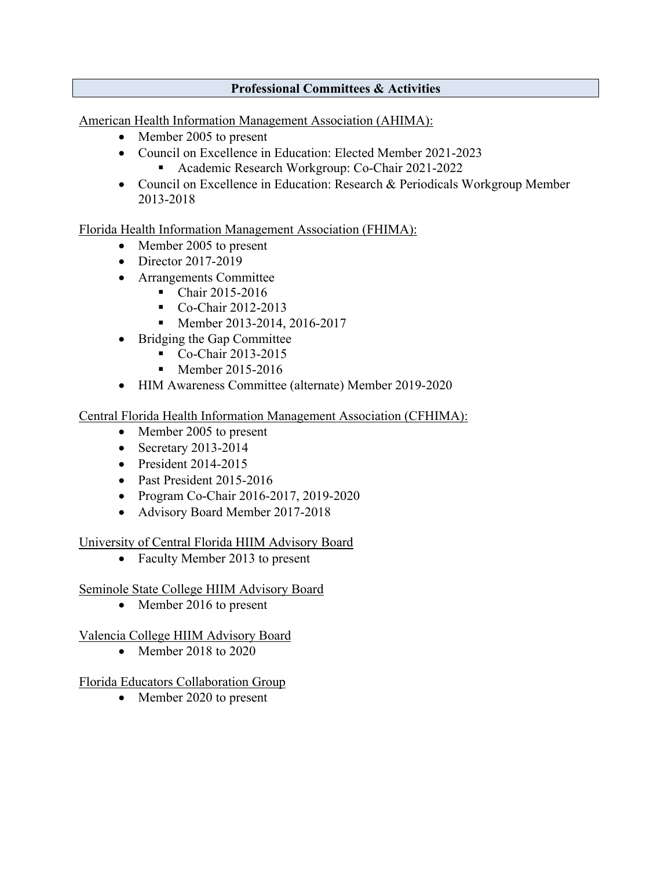# **Professional Committees & Activities**

American Health Information Management Association (AHIMA):

- Member 2005 to present
- Council on Excellence in Education: Elected Member 2021-2023
	- Academic Research Workgroup: Co-Chair 2021-2022
- Council on Excellence in Education: Research & Periodicals Workgroup Member 2013-2018

Florida Health Information Management Association (FHIMA):

- Member 2005 to present
- Director 2017-2019
- Arrangements Committee
	- Chair 2015-2016
	- Co-Chair 2012-2013
	- Member 2013-2014, 2016-2017
- Bridging the Gap Committee
	- Co-Chair 2013-2015
	- $\blacksquare$  Member 2015-2016
- HIM Awareness Committee (alternate) Member 2019-2020

# Central Florida Health Information Management Association (CFHIMA):

- Member 2005 to present
- Secretary 2013-2014
- President 2014-2015
- Past President 2015-2016
- Program Co-Chair 2016-2017, 2019-2020
- Advisory Board Member 2017-2018

## University of Central Florida HIIM Advisory Board

• Faculty Member 2013 to present

## Seminole State College HIIM Advisory Board

• Member 2016 to present

## Valencia College HIIM Advisory Board

• Member 2018 to 2020

## Florida Educators Collaboration Group

• Member 2020 to present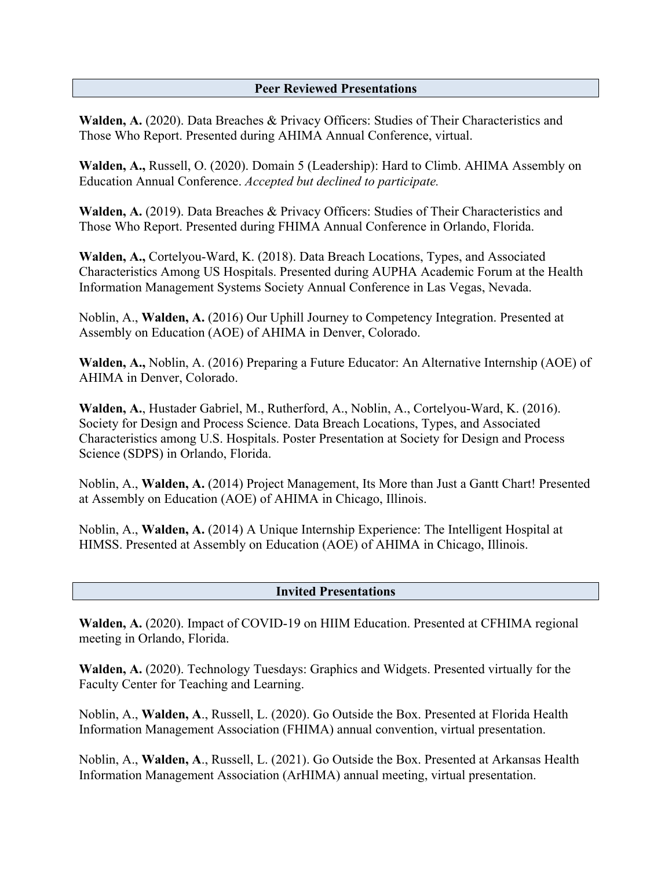#### **Peer Reviewed Presentations**

**Walden, A.** (2020). Data Breaches & Privacy Officers: Studies of Their Characteristics and Those Who Report. Presented during AHIMA Annual Conference, virtual.

**Walden, A.,** Russell, O. (2020). Domain 5 (Leadership): Hard to Climb. AHIMA Assembly on Education Annual Conference. *Accepted but declined to participate.*

Walden, A. (2019). Data Breaches & Privacy Officers: Studies of Their Characteristics and Those Who Report. Presented during FHIMA Annual Conference in Orlando, Florida.

**Walden, A.,** Cortelyou-Ward, K. (2018). Data Breach Locations, Types, and Associated Characteristics Among US Hospitals. Presented during AUPHA Academic Forum at the Health Information Management Systems Society Annual Conference in Las Vegas, Nevada.

Noblin, A., **Walden, A.** (2016) Our Uphill Journey to Competency Integration. Presented at Assembly on Education (AOE) of AHIMA in Denver, Colorado.

**Walden, A.,** Noblin, A. (2016) Preparing a Future Educator: An Alternative Internship (AOE) of AHIMA in Denver, Colorado.

**Walden, A.**, Hustader Gabriel, M., Rutherford, A., Noblin, A., Cortelyou-Ward, K. (2016). Society for Design and Process Science. Data Breach Locations, Types, and Associated Characteristics among U.S. Hospitals. Poster Presentation at Society for Design and Process Science (SDPS) in Orlando, Florida.

Noblin, A., **Walden, A.** (2014) Project Management, Its More than Just a Gantt Chart! Presented at Assembly on Education (AOE) of AHIMA in Chicago, Illinois.

Noblin, A., **Walden, A.** (2014) A Unique Internship Experience: The Intelligent Hospital at HIMSS. Presented at Assembly on Education (AOE) of AHIMA in Chicago, Illinois.

**Invited Presentations**

**Walden, A.** (2020). Impact of COVID-19 on HIIM Education. Presented at CFHIMA regional meeting in Orlando, Florida.

**Walden, A.** (2020). Technology Tuesdays: Graphics and Widgets. Presented virtually for the Faculty Center for Teaching and Learning.

Noblin, A., **Walden, A**., Russell, L. (2020). Go Outside the Box. Presented at Florida Health Information Management Association (FHIMA) annual convention, virtual presentation.

Noblin, A., **Walden, A**., Russell, L. (2021). Go Outside the Box. Presented at Arkansas Health Information Management Association (ArHIMA) annual meeting, virtual presentation.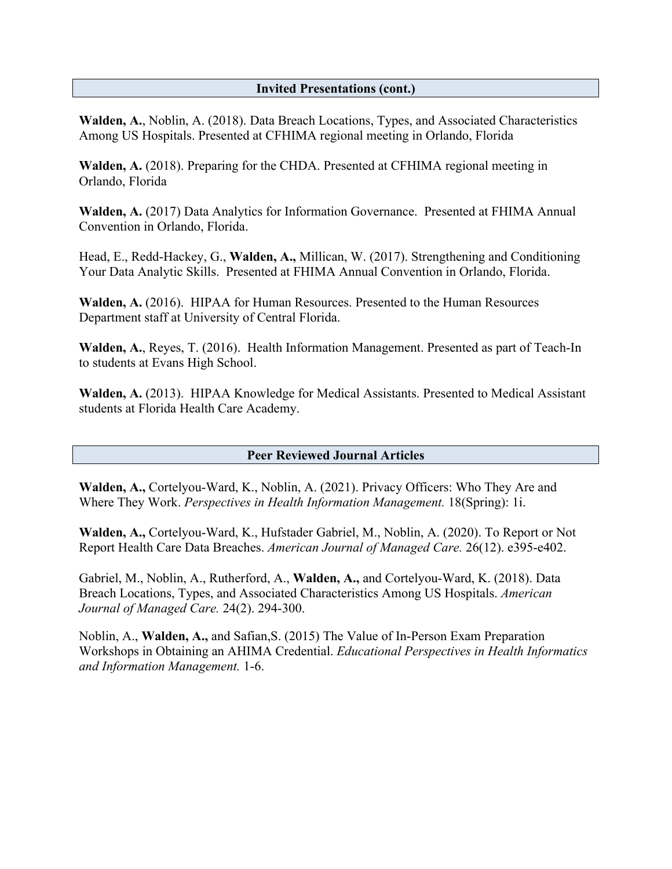#### **Invited Presentations (cont.)**

**Walden, A.**, Noblin, A. (2018). Data Breach Locations, Types, and Associated Characteristics Among US Hospitals. Presented at CFHIMA regional meeting in Orlando, Florida

**Walden, A.** (2018). Preparing for the CHDA. Presented at CFHIMA regional meeting in Orlando, Florida

**Walden, A.** (2017) Data Analytics for Information Governance. Presented at FHIMA Annual Convention in Orlando, Florida.

Head, E., Redd-Hackey, G., **Walden, A.,** Millican, W. (2017). Strengthening and Conditioning Your Data Analytic Skills. Presented at FHIMA Annual Convention in Orlando, Florida.

**Walden, A.** (2016). HIPAA for Human Resources. Presented to the Human Resources Department staff at University of Central Florida.

**Walden, A.**, Reyes, T. (2016). Health Information Management. Presented as part of Teach-In to students at Evans High School.

**Walden, A.** (2013). HIPAA Knowledge for Medical Assistants. Presented to Medical Assistant students at Florida Health Care Academy.

#### **Peer Reviewed Journal Articles**

**Walden, A.,** Cortelyou-Ward, K., Noblin, A. (2021). Privacy Officers: Who They Are and Where They Work. *Perspectives in Health Information Management.* 18(Spring): 1i.

**Walden, A.,** Cortelyou-Ward, K., Hufstader Gabriel, M., Noblin, A. (2020). To Report or Not Report Health Care Data Breaches. *American Journal of Managed Care.* 26(12). e395-e402.

Gabriel, M., Noblin, A., Rutherford, A., **Walden, A.,** and Cortelyou-Ward, K. (2018). Data Breach Locations, Types, and Associated Characteristics Among US Hospitals. *American Journal of Managed Care.* 24(2). 294-300.

Noblin, A., **Walden, A.,** and Safian,S. (2015) The Value of In-Person Exam Preparation Workshops in Obtaining an AHIMA Credential. *Educational Perspectives in Health Informatics and Information Management.* 1-6.